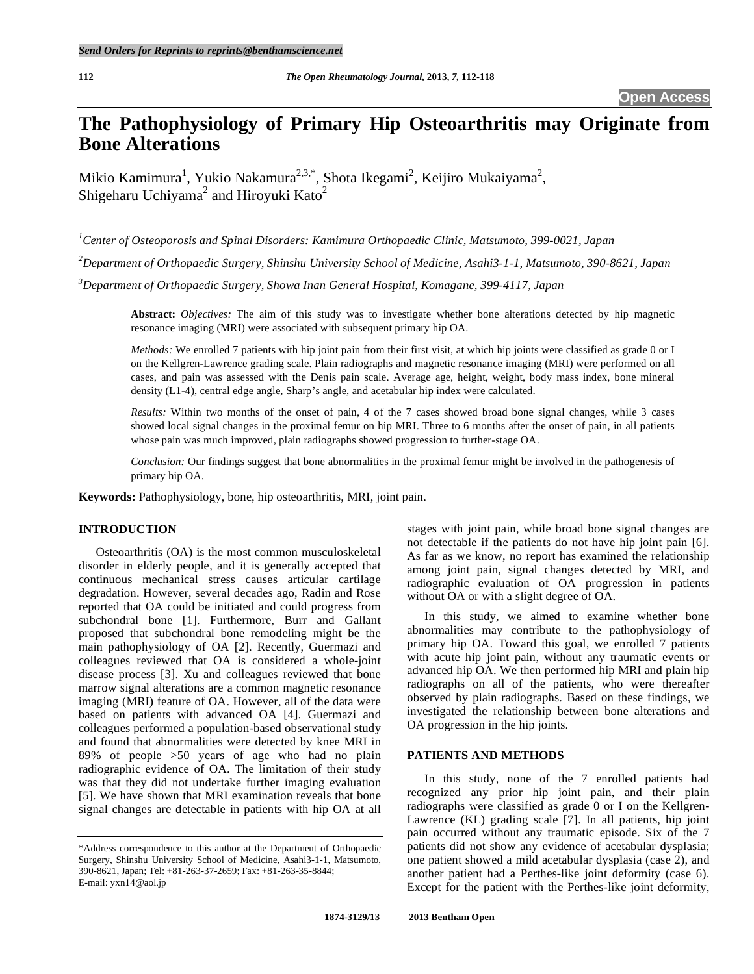# **The Pathophysiology of Primary Hip Osteoarthritis may Originate from Bone Alterations**

Mikio Kamimura<sup>1</sup>, Yukio Nakamura<sup>2,3,\*</sup>, Shota Ikegami<sup>2</sup>, Keijiro Mukaiyama<sup>2</sup>, Shigeharu Uchiyama<sup>2</sup> and Hiroyuki Kato<sup>2</sup>

*1 Center of Osteoporosis and Spinal Disorders: Kamimura Orthopaedic Clinic, Matsumoto, 399-0021, Japan*

*2 Department of Orthopaedic Surgery, Shinshu University School of Medicine, Asahi3-1-1, Matsumoto, 390-8621, Japan*

*3 Department of Orthopaedic Surgery, Showa Inan General Hospital, Komagane, 399-4117, Japan*

**Abstract:** *Objectives:* The aim of this study was to investigate whether bone alterations detected by hip magnetic resonance imaging (MRI) were associated with subsequent primary hip OA.

*Methods:* We enrolled 7 patients with hip joint pain from their first visit, at which hip joints were classified as grade 0 or I on the Kellgren-Lawrence grading scale. Plain radiographs and magnetic resonance imaging (MRI) were performed on all cases, and pain was assessed with the Denis pain scale. Average age, height, weight, body mass index, bone mineral density (L1-4), central edge angle, Sharp's angle, and acetabular hip index were calculated.

*Results:* Within two months of the onset of pain, 4 of the 7 cases showed broad bone signal changes, while 3 cases showed local signal changes in the proximal femur on hip MRI. Three to 6 months after the onset of pain, in all patients whose pain was much improved, plain radiographs showed progression to further-stage OA.

*Conclusion:* Our findings suggest that bone abnormalities in the proximal femur might be involved in the pathogenesis of primary hip OA.

**Keywords:** Pathophysiology, bone, hip osteoarthritis, MRI, joint pain.

### **INTRODUCTION**

Osteoarthritis (OA) is the most common musculoskeletal disorder in elderly people, and it is generally accepted that continuous mechanical stress causes articular cartilage degradation. However, several decades ago, Radin and Rose reported that OA could be initiated and could progress from subchondral bone [1]. Furthermore, Burr and Gallant proposed that subchondral bone remodeling might be the main pathophysiology of OA [2]. Recently, Guermazi and colleagues reviewed that OA is considered a whole-joint disease process [3]. Xu and colleagues reviewed that bone marrow signal alterations are a common magnetic resonance imaging (MRI) feature of OA. However, all of the data were based on patients with advanced OA [4]. Guermazi and colleagues performed a population-based observational study and found that abnormalities were detected by knee MRI in 89% of people >50 years of age who had no plain radiographic evidence of OA. The limitation of their study was that they did not undertake further imaging evaluation [5]. We have shown that MRI examination reveals that bone signal changes are detectable in patients with hip OA at all

stages with joint pain, while broad bone signal changes are not detectable if the patients do not have hip joint pain [6]. As far as we know, no report has examined the relationship among joint pain, signal changes detected by MRI, and radiographic evaluation of OA progression in patients without OA or with a slight degree of OA.

In this study, we aimed to examine whether bone abnormalities may contribute to the pathophysiology of primary hip OA. Toward this goal, we enrolled 7 patients with acute hip joint pain, without any traumatic events or advanced hip OA. We then performed hip MRI and plain hip radiographs on all of the patients, who were thereafter observed by plain radiographs. Based on these findings, we investigated the relationship between bone alterations and OA progression in the hip joints.

## **PATIENTS AND METHODS**

In this study, none of the 7 enrolled patients had recognized any prior hip joint pain, and their plain radiographs were classified as grade 0 or I on the Kellgren-Lawrence (KL) grading scale [7]. In all patients, hip joint pain occurred without any traumatic episode. Six of the 7 patients did not show any evidence of acetabular dysplasia; one patient showed a mild acetabular dysplasia (case 2), and another patient had a Perthes-like joint deformity (case 6). Except for the patient with the Perthes-like joint deformity,

<sup>\*</sup>Address correspondence to this author at the Department of Orthopaedic Surgery, Shinshu University School of Medicine, Asahi3-1-1, Matsumoto, 390-8621, Japan; Tel: +81-263-37-2659; Fax: +81-263-35-8844; E-mail: yxn14@aol.jp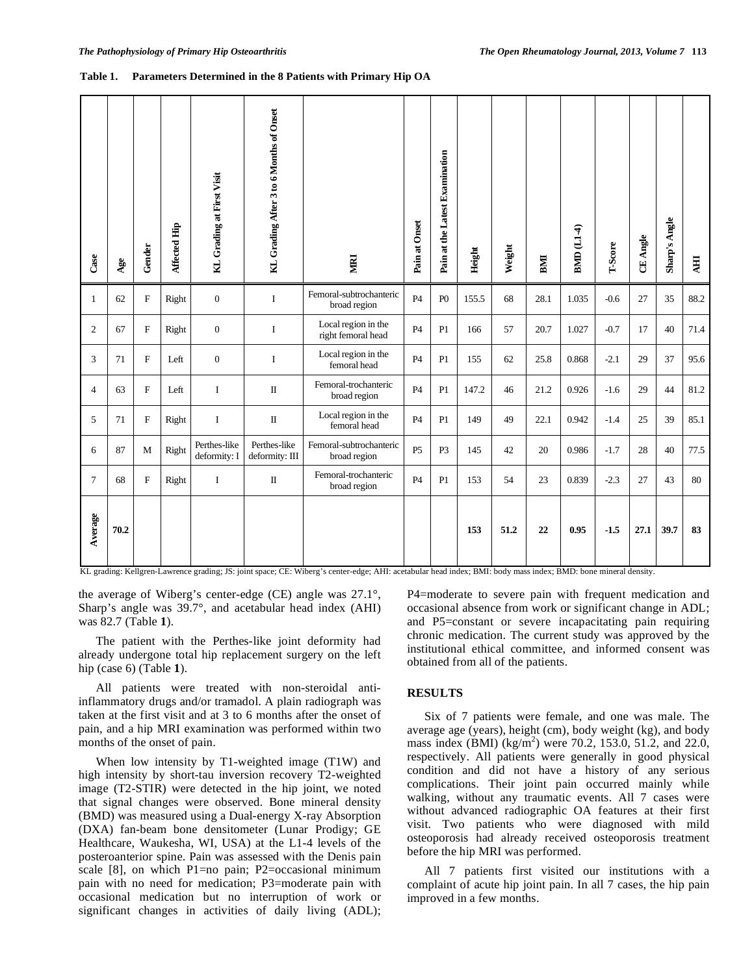#### **Table 1. Parameters Determined in the 8 Patients with Primary Hip OA**

| Case           | Age  | Gender                    | Affected Hip | KL Grading at First Visit    | KL Grading After 3 to 6 Months of Onset | <b>NIKI</b>                               | Pain at Onset  | Pain at the Latest Examination | Height | Weight | BMI  | BMD (L1-4) | T-Score | CE Angle | Sharp's Angle | <b>HI</b> |
|----------------|------|---------------------------|--------------|------------------------------|-----------------------------------------|-------------------------------------------|----------------|--------------------------------|--------|--------|------|------------|---------|----------|---------------|-----------|
| $\mathbf{1}$   | 62   | $\mathbf F$               | Right        | $\overline{0}$               | $\mathbf{I}$                            | Femoral-subtrochanteric<br>broad region   | <b>P4</b>      | P()                            | 155.5  | 68     | 28.1 | 1.035      | $-0.6$  | 27       | 35            | 88.2      |
| $\overline{2}$ | 67   | $\boldsymbol{\mathrm{F}}$ | Right        | $\overline{0}$               | I                                       | Local region in the<br>right femoral head | <b>P4</b>      | P1                             | 166    | 57     | 20.7 | 1.027      | $-0.7$  | 17       | 40            | 71.4      |
| 3              | 71   | F                         | Left         | $\mathbf{0}$                 | $\mathbf{I}$                            | Local region in the<br>femoral head       | <b>P4</b>      | P1                             | 155    | 62     | 25.8 | 0.868      | $-2.1$  | 29       | 37            | 95.6      |
| $\overline{4}$ | 63   | $\mathbf F$               | Left         | $\mathbf I$                  | $\rm II$                                | Femoral-trochanteric<br>broad region      | <b>P4</b>      | P1                             | 147.2  | 46     | 21.2 | 0.926      | $-1.6$  | 29       | 44            | 81.2      |
| 5              | 71   | $\boldsymbol{\mathrm{F}}$ | Right        | $\bf I$                      | $\rm II$                                | Local region in the<br>femoral head       | P <sub>4</sub> | P1                             | 149    | 49     | 22.1 | 0.942      | $-1.4$  | 25       | 39            | 85.1      |
| 6              | 87   | M                         | Right        | Perthes-like<br>deformity: I | Perthes-like<br>deformity: III          | Femoral-subtrochanteric<br>broad region   | P <sub>5</sub> | P3                             | 145    | 42     | 20   | 0.986      | $-1.7$  | 28       | 40            | 77.5      |
| $\tau$         | 68   | $\boldsymbol{\mathrm{F}}$ | Right        | $\bf{I}$                     | $\rm II$                                | Femoral-trochanteric<br>broad region      | <b>P4</b>      | P1                             | 153    | 54     | 23   | 0.839      | $-2.3$  | 27       | 43            | 80        |
| Average        | 70.2 |                           |              |                              |                                         |                                           |                |                                | 153    | 51.2   | 22   | 0.95       | $-1.5$  | 27.1     | 39.7          | 83        |

KL grading: Kellgren-Lawrence grading; JS: joint space; CE: Wiberg's center-edge; AHI: acetabular head index; BMI: body mass index; BMD: bone mineral density.

the average of Wiberg's center-edge (CE) angle was 27.1°, Sharp's angle was 39.7°, and acetabular head index (AHI) was 82.7 (Table **1**).

The patient with the Perthes-like joint deformity had already undergone total hip replacement surgery on the left hip (case 6) (Table **1**).

All patients were treated with non-steroidal antiinflammatory drugs and/or tramadol. A plain radiograph was taken at the first visit and at 3 to 6 months after the onset of pain, and a hip MRI examination was performed within two months of the onset of pain.

When low intensity by T1-weighted image (T1W) and high intensity by short-tau inversion recovery T2-weighted image (T2-STIR) were detected in the hip joint, we noted that signal changes were observed. Bone mineral density (BMD) was measured using a Dual-energy X-ray Absorption (DXA) fan-beam bone densitometer (Lunar Prodigy; GE Healthcare, Waukesha, WI, USA) at the L1-4 levels of the posteroanterior spine. Pain was assessed with the Denis pain scale [8], on which P1=no pain; P2=occasional minimum pain with no need for medication; P3=moderate pain with occasional medication but no interruption of work or significant changes in activities of daily living (ADL); P4=moderate to severe pain with frequent medication and occasional absence from work or significant change in ADL; and P5=constant or severe incapacitating pain requiring chronic medication. The current study was approved by the institutional ethical committee, and informed consent was obtained from all of the patients.

# **RESULTS**

Six of 7 patients were female, and one was male. The average age (years), height (cm), body weight (kg), and body mass index  $(BMI)$   $(kg/m<sup>2</sup>)$  were 70.2, 153.0, 51.2, and 22.0, respectively. All patients were generally in good physical condition and did not have a history of any serious complications. Their joint pain occurred mainly while walking, without any traumatic events. All 7 cases were without advanced radiographic OA features at their first visit. Two patients who were diagnosed with mild osteoporosis had already received osteoporosis treatment before the hip MRI was performed.

All 7 patients first visited our institutions with a complaint of acute hip joint pain. In all 7 cases, the hip pain improved in a few months.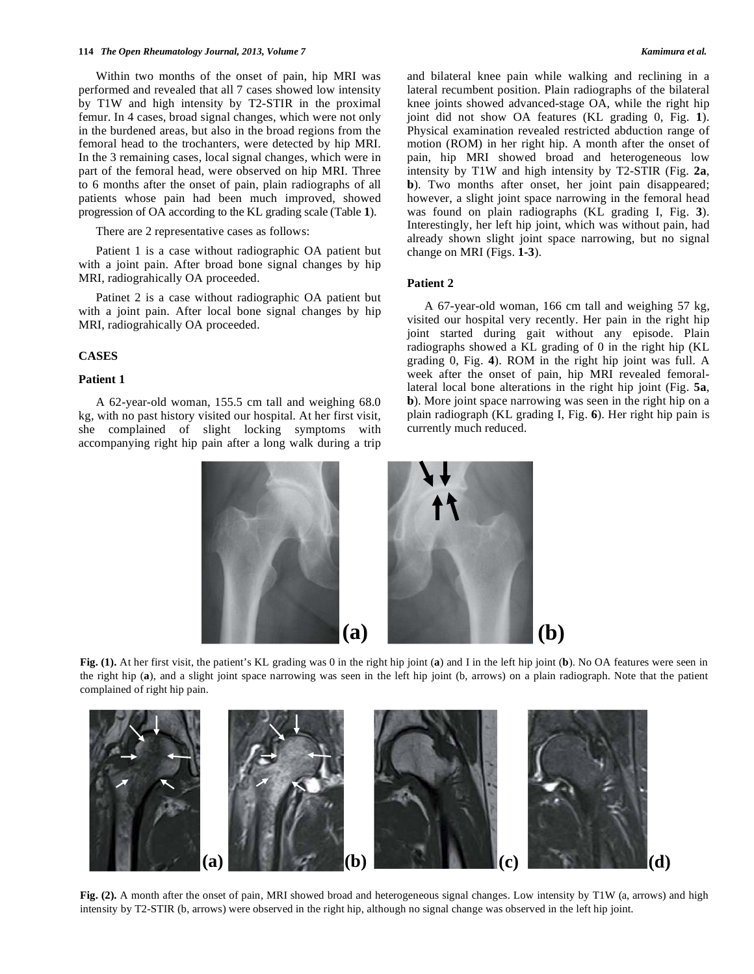#### **114** *The Open Rheumatology Journal, 2013, Volume 7 Kamimura et al.*

Within two months of the onset of pain, hip MRI was performed and revealed that all 7 cases showed low intensity by T1W and high intensity by T2-STIR in the proximal femur. In 4 cases, broad signal changes, which were not only in the burdened areas, but also in the broad regions from the femoral head to the trochanters, were detected by hip MRI. In the 3 remaining cases, local signal changes, which were in part of the femoral head, were observed on hip MRI. Three to 6 months after the onset of pain, plain radiographs of all patients whose pain had been much improved, showed progression of OA according to the KL grading scale (Table **1**).

There are 2 representative cases as follows:

Patient 1 is a case without radiographic OA patient but with a joint pain. After broad bone signal changes by hip MRI, radiograhically OA proceeded.

Patinet 2 is a case without radiographic OA patient but with a joint pain. After local bone signal changes by hip MRI, radiograhically OA proceeded.

#### **CASES**

#### **Patient 1**

A 62-year-old woman, 155.5 cm tall and weighing 68.0 kg, with no past history visited our hospital. At her first visit, she complained of slight locking symptoms with accompanying right hip pain after a long walk during a trip and bilateral knee pain while walking and reclining in a lateral recumbent position. Plain radiographs of the bilateral knee joints showed advanced-stage OA, while the right hip joint did not show OA features (KL grading 0, Fig. **1**). Physical examination revealed restricted abduction range of motion (ROM) in her right hip. A month after the onset of pain, hip MRI showed broad and heterogeneous low intensity by T1W and high intensity by T2-STIR (Fig. **2a**, **b**). Two months after onset, her joint pain disappeared; however, a slight joint space narrowing in the femoral head was found on plain radiographs (KL grading I, Fig. **3**). Interestingly, her left hip joint, which was without pain, had already shown slight joint space narrowing, but no signal change on MRI (Figs. **1-3**).

# **Patient 2**

A 67-year-old woman, 166 cm tall and weighing 57 kg, visited our hospital very recently. Her pain in the right hip joint started during gait without any episode. Plain radiographs showed a KL grading of 0 in the right hip (KL grading 0, Fig. **4**). ROM in the right hip joint was full. A week after the onset of pain, hip MRI revealed femorallateral local bone alterations in the right hip joint (Fig. **5a**, **b**). More joint space narrowing was seen in the right hip on a plain radiograph (KL grading I, Fig. **6**). Her right hip pain is currently much reduced.



**Fig. (1).** At her first visit, the patient's KL grading was 0 in the right hip joint (**a**) and I in the left hip joint (**b**). No OA features were seen in the right hip (**a**), and a slight joint space narrowing was seen in the left hip joint (b, arrows) on a plain radiograph. Note that the patient complained of right hip pain.



Fig. (2). A month after the onset of pain, MRI showed broad and heterogeneous signal changes. Low intensity by T1W (a, arrows) and high intensity by T2-STIR (b, arrows) were observed in the right hip, although no signal change was observed in the left hip joint.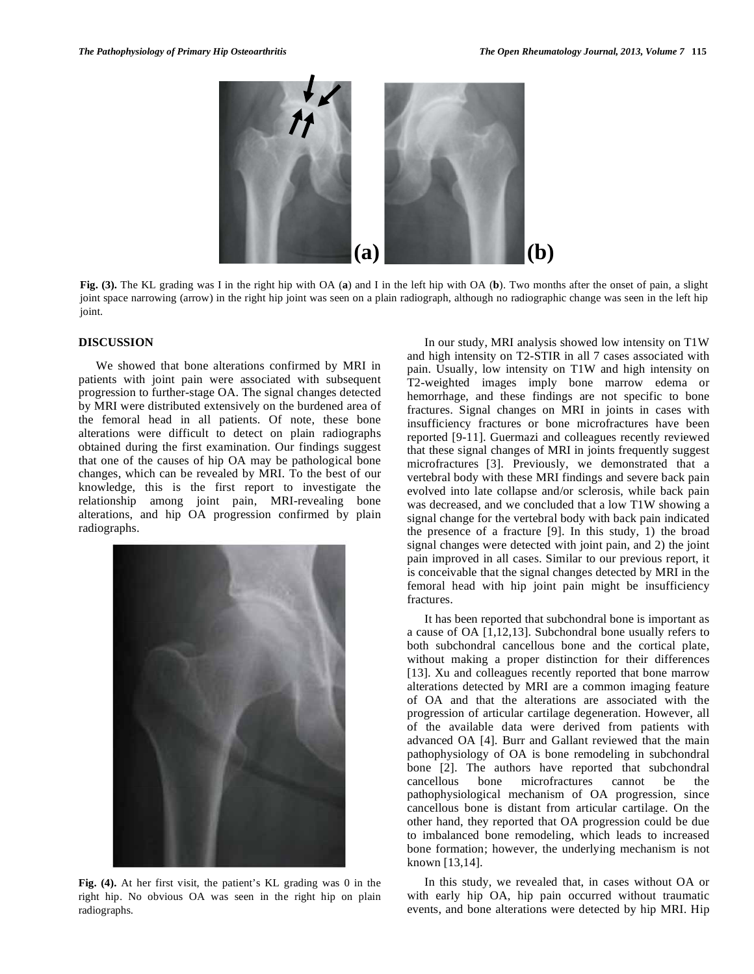

**Fig. (3).** The KL grading was I in the right hip with OA (**a**) and I in the left hip with OA (**b**). Two months after the onset of pain, a slight joint space narrowing (arrow) in the right hip joint was seen on a plain radiograph, although no radiographic change was seen in the left hip joint.

#### **DISCUSSION**

We showed that bone alterations confirmed by MRI in patients with joint pain were associated with subsequent progression to further-stage OA. The signal changes detected by MRI were distributed extensively on the burdened area of the femoral head in all patients. Of note, these bone alterations were difficult to detect on plain radiographs obtained during the first examination. Our findings suggest that one of the causes of hip OA may be pathological bone changes, which can be revealed by MRI. To the best of our knowledge, this is the first report to investigate the relationship among joint pain, MRI-revealing bone alterations, and hip OA progression confirmed by plain radiographs.



**Fig. (4).** At her first visit, the patient's KL grading was 0 in the right hip. No obvious OA was seen in the right hip on plain radiographs.

In our study, MRI analysis showed low intensity on T1W and high intensity on T2-STIR in all 7 cases associated with pain. Usually, low intensity on T1W and high intensity on T2-weighted images imply bone marrow edema or hemorrhage, and these findings are not specific to bone fractures. Signal changes on MRI in joints in cases with insufficiency fractures or bone microfractures have been reported [9-11]. Guermazi and colleagues recently reviewed that these signal changes of MRI in joints frequently suggest microfractures [3]. Previously, we demonstrated that a vertebral body with these MRI findings and severe back pain evolved into late collapse and/or sclerosis, while back pain was decreased, and we concluded that a low T1W showing a signal change for the vertebral body with back pain indicated the presence of a fracture [9]. In this study, 1) the broad signal changes were detected with joint pain, and 2) the joint pain improved in all cases. Similar to our previous report, it is conceivable that the signal changes detected by MRI in the femoral head with hip joint pain might be insufficiency fractures.

It has been reported that subchondral bone is important as a cause of OA [1,12,13]. Subchondral bone usually refers to both subchondral cancellous bone and the cortical plate, without making a proper distinction for their differences [13]. Xu and colleagues recently reported that bone marrow alterations detected by MRI are a common imaging feature of OA and that the alterations are associated with the progression of articular cartilage degeneration. However, all of the available data were derived from patients with advanced OA [4]. Burr and Gallant reviewed that the main pathophysiology of OA is bone remodeling in subchondral bone [2]. The authors have reported that subchondral cancellous bone microfractures cannot be the pathophysiological mechanism of OA progression, since cancellous bone is distant from articular cartilage. On the other hand, they reported that OA progression could be due to imbalanced bone remodeling, which leads to increased bone formation; however, the underlying mechanism is not known [13,14].

In this study, we revealed that, in cases without OA or with early hip OA, hip pain occurred without traumatic events, and bone alterations were detected by hip MRI. Hip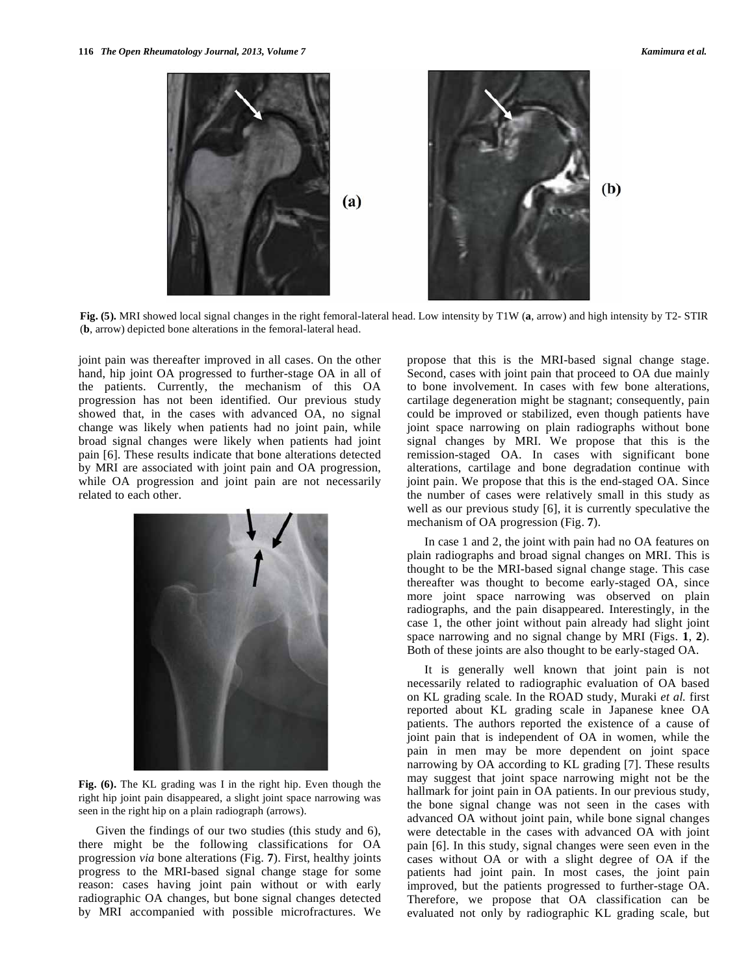

**Fig. (5).** MRI showed local signal changes in the right femoral-lateral head. Low intensity by T1W (**a**, arrow) and high intensity by T2- STIR (**b**, arrow) depicted bone alterations in the femoral-lateral head.

joint pain was thereafter improved in all cases. On the other hand, hip joint OA progressed to further-stage OA in all of the patients. Currently, the mechanism of this OA progression has not been identified. Our previous study showed that, in the cases with advanced OA, no signal change was likely when patients had no joint pain, while broad signal changes were likely when patients had joint pain [6]. These results indicate that bone alterations detected by MRI are associated with joint pain and OA progression, while OA progression and joint pain are not necessarily related to each other.



**Fig. (6).** The KL grading was I in the right hip. Even though the right hip joint pain disappeared, a slight joint space narrowing was seen in the right hip on a plain radiograph (arrows).

Given the findings of our two studies (this study and 6), there might be the following classifications for OA progression *via* bone alterations (Fig. **7**). First, healthy joints progress to the MRI-based signal change stage for some reason: cases having joint pain without or with early radiographic OA changes, but bone signal changes detected by MRI accompanied with possible microfractures. We propose that this is the MRI-based signal change stage. Second, cases with joint pain that proceed to OA due mainly to bone involvement. In cases with few bone alterations, cartilage degeneration might be stagnant; consequently, pain could be improved or stabilized, even though patients have joint space narrowing on plain radiographs without bone signal changes by MRI. We propose that this is the remission-staged OA. In cases with significant bone alterations, cartilage and bone degradation continue with joint pain. We propose that this is the end-staged OA. Since the number of cases were relatively small in this study as well as our previous study [6], it is currently speculative the mechanism of OA progression (Fig. **7**).

In case 1 and 2, the joint with pain had no OA features on plain radiographs and broad signal changes on MRI. This is thought to be the MRI-based signal change stage. This case thereafter was thought to become early-staged OA, since more joint space narrowing was observed on plain radiographs, and the pain disappeared. Interestingly, in the case 1, the other joint without pain already had slight joint space narrowing and no signal change by MRI (Figs. **1**, **2**). Both of these joints are also thought to be early-staged OA.

It is generally well known that joint pain is not necessarily related to radiographic evaluation of OA based on KL grading scale. In the ROAD study, Muraki *et al.* first reported about KL grading scale in Japanese knee OA patients. The authors reported the existence of a cause of joint pain that is independent of OA in women, while the pain in men may be more dependent on joint space narrowing by OA according to KL grading [7]. These results may suggest that joint space narrowing might not be the hallmark for joint pain in OA patients. In our previous study, the bone signal change was not seen in the cases with advanced OA without joint pain, while bone signal changes were detectable in the cases with advanced OA with joint pain [6]. In this study, signal changes were seen even in the cases without OA or with a slight degree of OA if the patients had joint pain. In most cases, the joint pain improved, but the patients progressed to further-stage OA. Therefore, we propose that OA classification can be evaluated not only by radiographic KL grading scale, but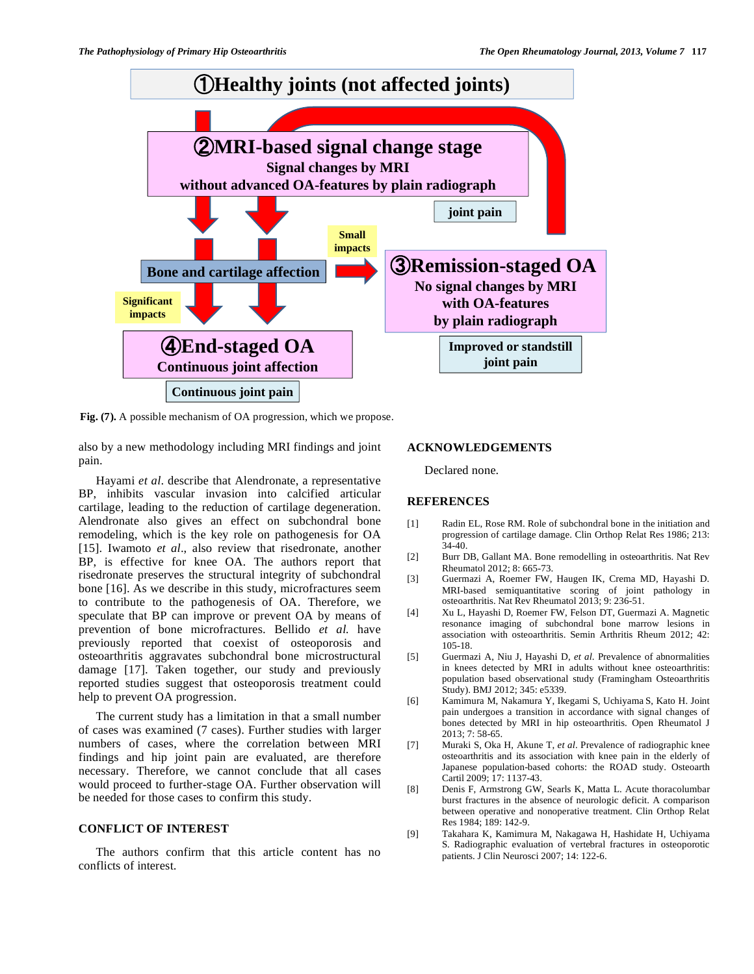

**Fig. (7).** A possible mechanism of OA progression, which we propose.

also by a new methodology including MRI findings and joint pain.

Hayami *et al*. describe that Alendronate, a representative BP, inhibits vascular invasion into calcified articular cartilage, leading to the reduction of cartilage degeneration. Alendronate also gives an effect on subchondral bone remodeling, which is the key role on pathogenesis for OA [15]. Iwamoto *et al.*, also review that risedronate, another BP, is effective for knee OA. The authors report that risedronate preserves the structural integrity of subchondral bone [16]. As we describe in this study, microfractures seem to contribute to the pathogenesis of OA. Therefore, we speculate that BP can improve or prevent OA by means of prevention of bone microfractures. Bellido *et al.* have previously reported that coexist of osteoporosis and osteoarthritis aggravates subchondral bone microstructural damage [17]. Taken together, our study and previously reported studies suggest that osteoporosis treatment could help to prevent OA progression.

The current study has a limitation in that a small number of cases was examined (7 cases). Further studies with larger numbers of cases, where the correlation between MRI findings and hip joint pain are evaluated, are therefore necessary. Therefore, we cannot conclude that all cases would proceed to further-stage OA. Further observation will be needed for those cases to confirm this study.

## **CONFLICT OF INTEREST**

The authors confirm that this article content has no conflicts of interest.

## **ACKNOWLEDGEMENTS**

Declared none.

#### **REFERENCES**

- [1] Radin EL, Rose RM. Role of subchondral bone in the initiation and progression of cartilage damage. Clin Orthop Relat Res 1986; 213: 34-40.
- [2] Burr DB, Gallant MA. Bone remodelling in osteoarthritis. Nat Rev Rheumatol 2012; 8: 665-73.
- [3] Guermazi A, Roemer FW, Haugen IK, Crema MD, Hayashi D. MRI-based semiquantitative scoring of joint pathology in osteoarthritis. Nat Rev Rheumatol 2013; 9: 236-51.
- [4] Xu L, Hayashi D, Roemer FW, Felson DT, Guermazi A. Magnetic resonance imaging of subchondral bone marrow lesions in association with osteoarthritis. Semin Arthritis Rheum 2012; 42: 105-18.
- [5] Guermazi A, Niu J, Hayashi D, *et al*. Prevalence of abnormalities in knees detected by MRI in adults without knee osteoarthritis: population based observational study (Framingham Osteoarthritis Study). BMJ 2012; 345: e5339.
- [6] Kamimura M, Nakamura Y, Ikegami S, Uchiyama S, Kato H. Joint pain undergoes a transition in accordance with signal changes of bones detected by MRI in hip osteoarthritis. Open Rheumatol J 2013; 7: 58-65.
- [7] Muraki S, Oka H, Akune T, *et al*. Prevalence of radiographic knee osteoarthritis and its association with knee pain in the elderly of Japanese population-based cohorts: the ROAD study. Osteoarth Cartil 2009; 17: 1137-43.
- [8] Denis F, Armstrong GW, Searls K, Matta L. Acute thoracolumbar burst fractures in the absence of neurologic deficit. A comparison between operative and nonoperative treatment. Clin Orthop Relat Res 1984; 189: 142-9.
- [9] Takahara K, Kamimura M, Nakagawa H, Hashidate H, Uchiyama S. Radiographic evaluation of vertebral fractures in osteoporotic patients. J Clin Neurosci 2007; 14: 122-6.